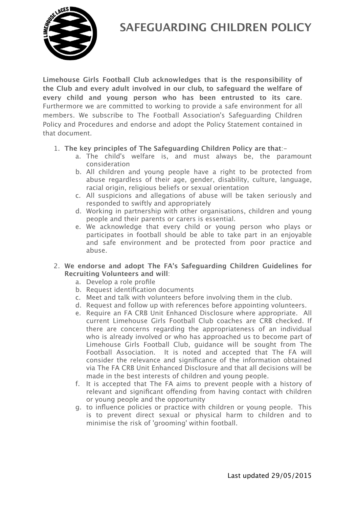



**Limehouse Girls Football Club acknowledges that is the responsibility of the Club and every adult involved in our club, to safeguard the welfare of every child and young person who has been entrusted to its care**. Furthermore we are committed to working to provide a safe environment for all members. We subscribe to The Football Association's Safeguarding Children Policy and Procedures and endorse and adopt the Policy Statement contained in that document.

- 1. **The key principles of The Safeguarding Children Policy are that**:
	- a. The child's welfare is, and must always be, the paramount consideration
	- b. All children and young people have a right to be protected from abuse regardless of their age, gender, disability, culture, language, racial origin, religious beliefs or sexual orientation
	- c. All suspicions and allegations of abuse will be taken seriously and responded to swiftly and appropriately
	- d. Working in partnership with other organisations, children and young people and their parents or carers is essential.
	- e. We acknowledge that every child or young person who plays or participates in football should be able to take part in an enjoyable and safe environment and be protected from poor practice and abuse.
- 2. **We endorse and adopt The FA's Safeguarding Children Guidelines for Recruiting Volunteers and will**:
	- a. Develop a role profile
	- b. Request identification documents
	- c. Meet and talk with volunteers before involving them in the club.
	- d. Request and follow up with references before appointing volunteers.
	- e. Require an FA CRB Unit Enhanced Disclosure where appropriate. All current Limehouse Girls Football Club coaches are CRB checked. If there are concerns regarding the appropriateness of an individual who is already involved or who has approached us to become part of Limehouse Girls Football Club, guidance will be sought from The Football Association. It is noted and accepted that The FA will consider the relevance and significance of the information obtained via The FA CRB Unit Enhanced Disclosure and that all decisions will be made in the best interests of children and young people.
	- f. It is accepted that The FA aims to prevent people with a history of relevant and significant offending from having contact with children or young people and the opportunity
	- g. to influence policies or practice with children or young people. This is to prevent direct sexual or physical harm to children and to minimise the risk of 'grooming' within football.